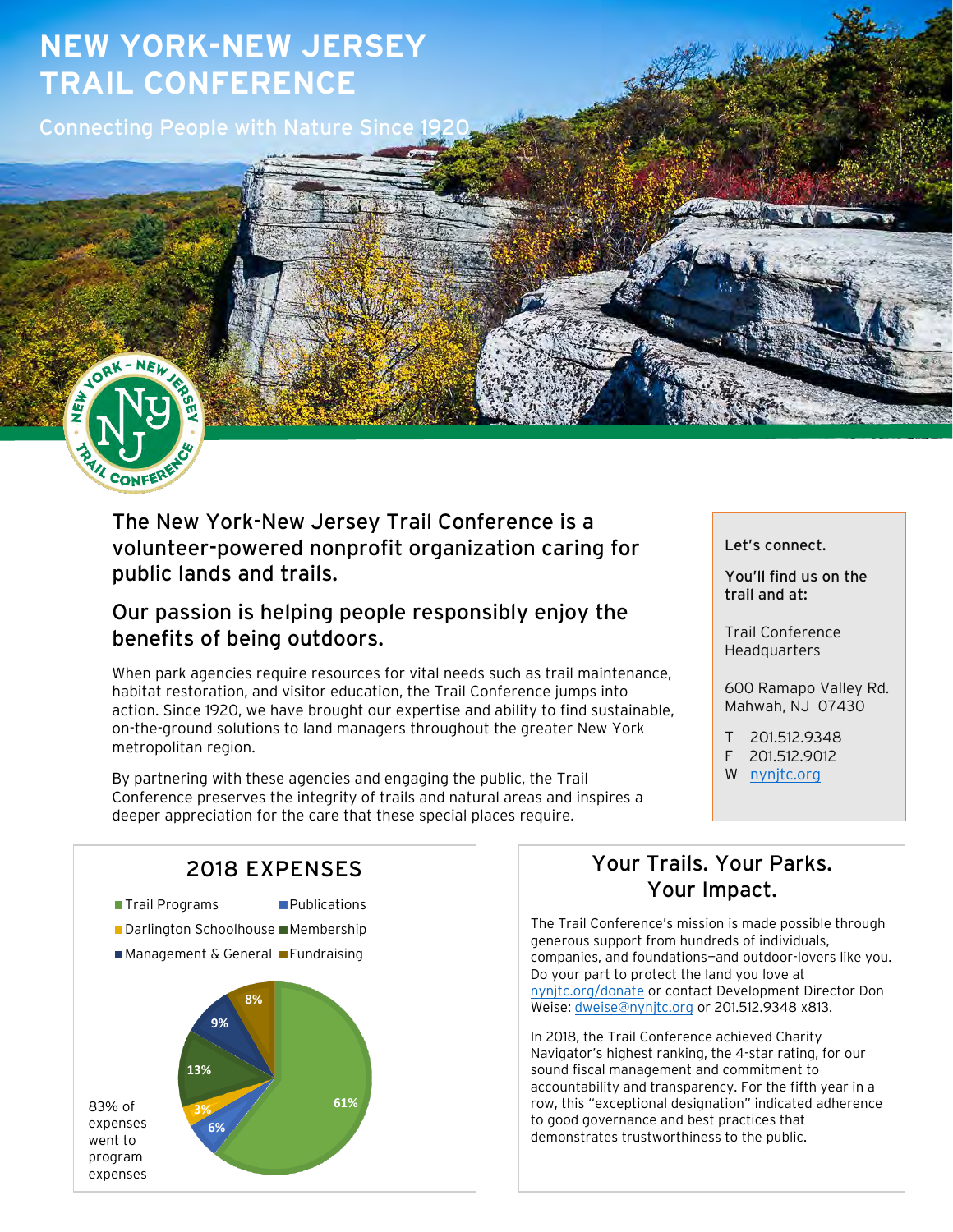# **NEW YORK-NEW JERSEY TRAIL CONFERENCE**

Connecting People with Nature Since 19



The New York-New Jersey Trail Conference is a volunteer-powered nonprofit organization caring for public lands and trails.

## Our passion is helping people responsibly enjoy the benefits of being outdoors.

When park agencies require resources for vital needs such as trail maintenance, habitat restoration, and visitor education, the Trail Conference jumps into action. Since 1920, we have brought our expertise and ability to find sustainable, on-the-ground solutions to land managers throughout the greater New York metropolitan region.

By partnering with these agencies and engaging the public, the Trail Conference preserves the integrity of trails and natural areas and inspires a deeper appreciation for the care that these special places require.

#### Let's connect.

You'll find us on the trail and at:

Trail Conference Headquarters

600 Ramapo Valley Rd. Mahwah, NJ 07430

T 201.512.9348 F 201.512.9012

W [nynjtc.org](http://www.nynjtc.org/)



## Your Trails. Your Parks. Your Impact.

The Trail Conference's mission is made possible through generous support from hundreds of individuals, companies, and foundations—and outdoor-lovers like you. Do your part to protect the land you love at [nynjtc.org/donate](http://www.nynjtc.org/donate) or contact Development Director Don Weise[: dweise@nynjtc.org](mailto:dweise@nynjtc.org) or 201.512.9348 x813.

In 2018, the Trail Conference achieved Charity Navigator's highest ranking, the 4-star rating, for our sound fiscal management and commitment to accountability and transparency. For the fifth year in a row, this "exceptional designation" indicated adherence to good governance and best practices that demonstrates trustworthiness to the public.